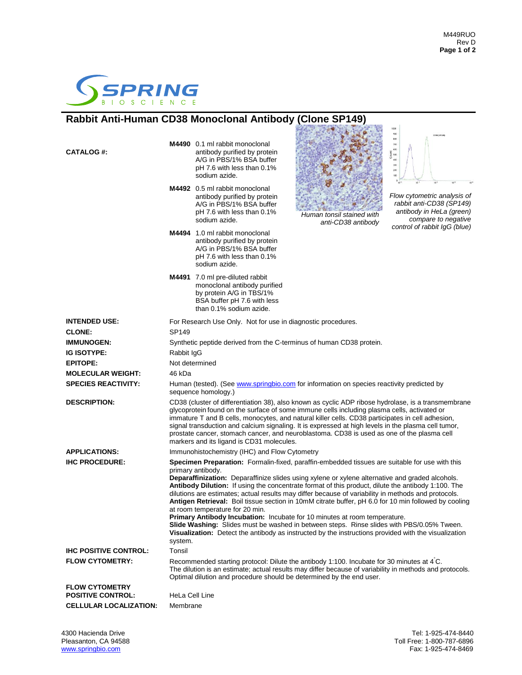

## **Rabbit Anti-Human CD38 Monoclonal Antibody (Clone SP149)**

| <b>CATALOG#:</b>                                  |                                                                                                                                                                                                                                                                                                                                                                                                                                                                                                                                                                                                                                                                                                                                                                                                                                                                             | M4490 0.1 ml rabbit monoclonal<br>antibody purified by protein<br>A/G in PBS/1% BSA buffer<br>pH 7.6 with less than 0.1%<br>sodium azide.<br>M4492 0.5 ml rabbit monoclonal<br>antibody purified by protein<br>A/G in PBS/1% BSA buffer<br>pH 7.6 with less than 0.1%<br>sodium azide. | Human tonsil stained with<br>anti-CD38 antibody | CD38 (SP149)<br>800<br>700<br>600<br>500<br>400<br>300<br>200<br>Flow cytometric analysis of<br>rabbit anti-CD38 (SP149)<br>antibody in HeLa (green)<br>compare to negative<br>control of rabbit IqG (blue) |
|---------------------------------------------------|-----------------------------------------------------------------------------------------------------------------------------------------------------------------------------------------------------------------------------------------------------------------------------------------------------------------------------------------------------------------------------------------------------------------------------------------------------------------------------------------------------------------------------------------------------------------------------------------------------------------------------------------------------------------------------------------------------------------------------------------------------------------------------------------------------------------------------------------------------------------------------|----------------------------------------------------------------------------------------------------------------------------------------------------------------------------------------------------------------------------------------------------------------------------------------|-------------------------------------------------|-------------------------------------------------------------------------------------------------------------------------------------------------------------------------------------------------------------|
|                                                   |                                                                                                                                                                                                                                                                                                                                                                                                                                                                                                                                                                                                                                                                                                                                                                                                                                                                             | M4494 1.0 ml rabbit monoclonal<br>antibody purified by protein<br>A/G in PBS/1% BSA buffer<br>pH 7.6 with less than 0.1%<br>sodium azide.                                                                                                                                              |                                                 |                                                                                                                                                                                                             |
|                                                   |                                                                                                                                                                                                                                                                                                                                                                                                                                                                                                                                                                                                                                                                                                                                                                                                                                                                             | M4491 7.0 ml pre-diluted rabbit<br>monoclonal antibody purified<br>by protein A/G in TBS/1%<br>BSA buffer pH 7.6 with less<br>than 0.1% sodium azide.                                                                                                                                  |                                                 |                                                                                                                                                                                                             |
| <b>INTENDED USE:</b>                              | For Research Use Only. Not for use in diagnostic procedures.                                                                                                                                                                                                                                                                                                                                                                                                                                                                                                                                                                                                                                                                                                                                                                                                                |                                                                                                                                                                                                                                                                                        |                                                 |                                                                                                                                                                                                             |
| <b>CLONE:</b>                                     | SP149                                                                                                                                                                                                                                                                                                                                                                                                                                                                                                                                                                                                                                                                                                                                                                                                                                                                       |                                                                                                                                                                                                                                                                                        |                                                 |                                                                                                                                                                                                             |
| <b>IMMUNOGEN:</b>                                 | Synthetic peptide derived from the C-terminus of human CD38 protein.                                                                                                                                                                                                                                                                                                                                                                                                                                                                                                                                                                                                                                                                                                                                                                                                        |                                                                                                                                                                                                                                                                                        |                                                 |                                                                                                                                                                                                             |
| <b>IG ISOTYPE:</b>                                | Rabbit IgG                                                                                                                                                                                                                                                                                                                                                                                                                                                                                                                                                                                                                                                                                                                                                                                                                                                                  |                                                                                                                                                                                                                                                                                        |                                                 |                                                                                                                                                                                                             |
| <b>EPITOPE:</b>                                   | Not determined                                                                                                                                                                                                                                                                                                                                                                                                                                                                                                                                                                                                                                                                                                                                                                                                                                                              |                                                                                                                                                                                                                                                                                        |                                                 |                                                                                                                                                                                                             |
| <b>MOLECULAR WEIGHT:</b>                          | 46 kDa                                                                                                                                                                                                                                                                                                                                                                                                                                                                                                                                                                                                                                                                                                                                                                                                                                                                      |                                                                                                                                                                                                                                                                                        |                                                 |                                                                                                                                                                                                             |
| <b>SPECIES REACTIVITY:</b>                        | Human (tested). (See www.springbio.com for information on species reactivity predicted by<br>sequence homology.)                                                                                                                                                                                                                                                                                                                                                                                                                                                                                                                                                                                                                                                                                                                                                            |                                                                                                                                                                                                                                                                                        |                                                 |                                                                                                                                                                                                             |
| <b>DESCRIPTION:</b>                               | CD38 (cluster of differentiation 38), also known as cyclic ADP ribose hydrolase, is a transmembrane<br>glycoprotein found on the surface of some immune cells including plasma cells, activated or<br>immature T and B cells, monocytes, and natural killer cells. CD38 participates in cell adhesion,<br>signal transduction and calcium signaling. It is expressed at high levels in the plasma cell tumor,<br>prostate cancer, stomach cancer, and neuroblastoma. CD38 is used as one of the plasma cell<br>markers and its ligand is CD31 molecules.                                                                                                                                                                                                                                                                                                                    |                                                                                                                                                                                                                                                                                        |                                                 |                                                                                                                                                                                                             |
| <b>APPLICATIONS:</b>                              | Immunohistochemistry (IHC) and Flow Cytometry                                                                                                                                                                                                                                                                                                                                                                                                                                                                                                                                                                                                                                                                                                                                                                                                                               |                                                                                                                                                                                                                                                                                        |                                                 |                                                                                                                                                                                                             |
| <b>IHC PROCEDURE:</b>                             | Specimen Preparation: Formalin-fixed, paraffin-embedded tissues are suitable for use with this<br>primary antibody.<br>Deparaffinization: Deparaffinize slides using xylene or xylene alternative and graded alcohols.<br>Antibody Dilution: If using the concentrate format of this product, dilute the antibody 1:100. The<br>dilutions are estimates; actual results may differ because of variability in methods and protocols.<br>Antigen Retrieval: Boil tissue section in 10mM citrate buffer, pH 6.0 for 10 min followed by cooling<br>at room temperature for 20 min.<br>Primary Antibody Incubation: Incubate for 10 minutes at room temperature.<br>Slide Washing: Slides must be washed in between steps. Rinse slides with PBS/0.05% Tween.<br>Visualization: Detect the antibody as instructed by the instructions provided with the visualization<br>system. |                                                                                                                                                                                                                                                                                        |                                                 |                                                                                                                                                                                                             |
| <b>IHC POSITIVE CONTROL:</b>                      | Tonsil                                                                                                                                                                                                                                                                                                                                                                                                                                                                                                                                                                                                                                                                                                                                                                                                                                                                      |                                                                                                                                                                                                                                                                                        |                                                 |                                                                                                                                                                                                             |
| <b>FLOW CYTOMETRY:</b>                            | Recommended starting protocol: Dilute the antibody 1:100. Incubate for 30 minutes at 4°C.<br>The dilution is an estimate; actual results may differ because of variability in methods and protocols.<br>Optimal dilution and procedure should be determined by the end user.                                                                                                                                                                                                                                                                                                                                                                                                                                                                                                                                                                                                |                                                                                                                                                                                                                                                                                        |                                                 |                                                                                                                                                                                                             |
| <b>FLOW CYTOMETRY</b><br><b>POSITIVE CONTROL:</b> |                                                                                                                                                                                                                                                                                                                                                                                                                                                                                                                                                                                                                                                                                                                                                                                                                                                                             |                                                                                                                                                                                                                                                                                        |                                                 |                                                                                                                                                                                                             |
| <b>CELLULAR LOCALIZATION:</b>                     | HeLa Cell Line<br>Membrane                                                                                                                                                                                                                                                                                                                                                                                                                                                                                                                                                                                                                                                                                                                                                                                                                                                  |                                                                                                                                                                                                                                                                                        |                                                 |                                                                                                                                                                                                             |
|                                                   |                                                                                                                                                                                                                                                                                                                                                                                                                                                                                                                                                                                                                                                                                                                                                                                                                                                                             |                                                                                                                                                                                                                                                                                        |                                                 |                                                                                                                                                                                                             |